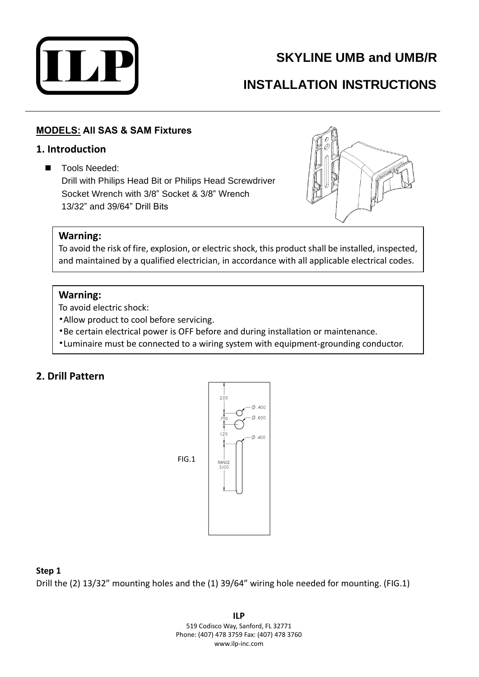

## **SKYLINE UMB and UMB/R**

# **INSTALLATION INSTRUCTIONS**

### **MODELS: All SAS & SAM Fixtures**

#### **1. Introduction**

■ Tools Needed: Drill with Philips Head Bit or Philips Head Screwdriver Socket Wrench with 3/8" Socket & 3/8" Wrench 13/32" and 39/64" Drill Bits



#### **Warning:**

To avoid the risk of fire, explosion, or electric shock, this product shall be installed, inspected, and maintained by a qualified electrician, in accordance with all applicable electrical codes.

#### **Warning:**

To avoid electric shock:

- •Allow product to cool before servicing.
- •Be certain electrical power is OFF before and during installation or maintenance.
- •Luminaire must be connected to a wiring system with equipment-grounding conductor.

## **2. Drill Pattern**



#### **Step 1**

Drill the (2) 13/32" mounting holes and the (1) 39/64" wiring hole needed for mounting. (FIG.1)

**ILP** 519 Codisco Way, Sanford, FL 32771 Phone: (407) 478 3759 Fax: (407) 478 3760 www.ilp-inc.com